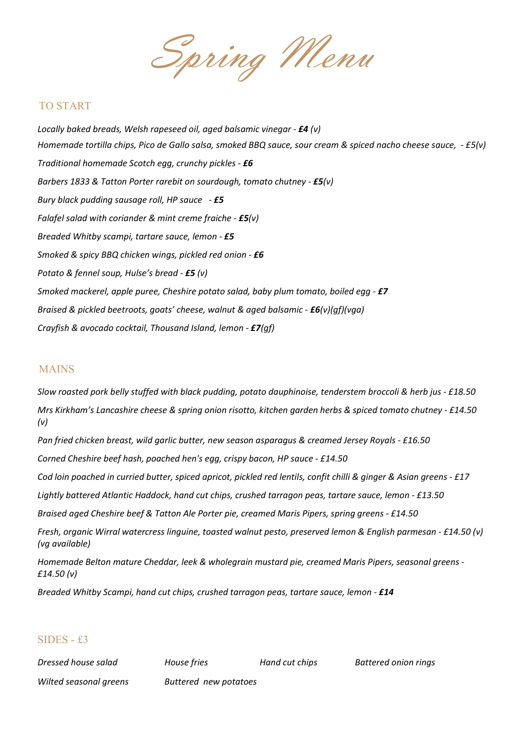Spring Menu

## TO START

Locally baked breads, Welsh rapeseed oil, aged balsamic vinegar -  $E4$  (v) Homemade tortilla chips, Pico de Gallo salsa, smoked BBQ sauce, sour cream & spiced nacho cheese sauce, - £5(v) Traditional homemade Scotch egg, crunchy pickles - £6 Barbers 1833 & Tatton Porter rarebit on sourdough, tomato chutney - £5(v) Bury black pudding sausage roll, HP sauce  $-$  £5 Falafel salad with coriander & mint creme fraiche -  $E5(v)$ Breaded Whitby scampi, tartare sauce, lemon - £5 Smoked & spicy BBQ chicken wings, pickled red onion - £6 Potato & fennel soup, Hulse's bread - £5 (v) Smoked mackerel, apple puree, Cheshire potato salad, baby plum tomato, boiled egg -  $E7$ Braised & pickled beetroots, goats' cheese, walnut & aged balsamic -  $E6(v)(qf)(vqa)$ Crayfish & avocado cocktail, Thousand Island, lemon - £7(gf)

## MAINS

Slow roasted pork belly stuffed with black pudding, potato dauphinoise, tenderstem broccoli & herb jus - £18.50 Mrs Kirkham's Lancashire cheese & spring onion risotto, kitchen garden herbs & spiced tomato chutney - £14.50 (v) Pan fried chicken breast, wild garlic butter, new season asparagus & creamed Jersey Royals - £16.50 Corned Cheshire beef hash, poached hen's egg, crispy bacon, HP sauce - £14.50 Cod loin poached in curried butter, spiced apricot, pickled red lentils, confit chilli & ginger & Asian greens - £17 Lightly battered Atlantic Haddock, hand cut chips, crushed tarragon peas, tartare sauce, lemon - £13.50 Braised aged Cheshire beef & Tatton Ale Porter pie, creamed Maris Pipers, spring greens - £14.50 Fresh, organic Wirral watercress linguine, toasted walnut pesto, preserved lemon & English parmesan - £14.50 (v)

Homemade Belton mature Cheddar, leek & wholegrain mustard pie, creamed Maris Pipers, seasonal greens - £14.50 (v)

Breaded Whitby Scampi, hand cut chips, crushed tarragon peas, tartare sauce, lemon - £14

## SIDES - £3

(vg available)

Dressed house salad House fries Hand cut chips Battered onion rings

Wilted seasonal greens Buttered new potatoes